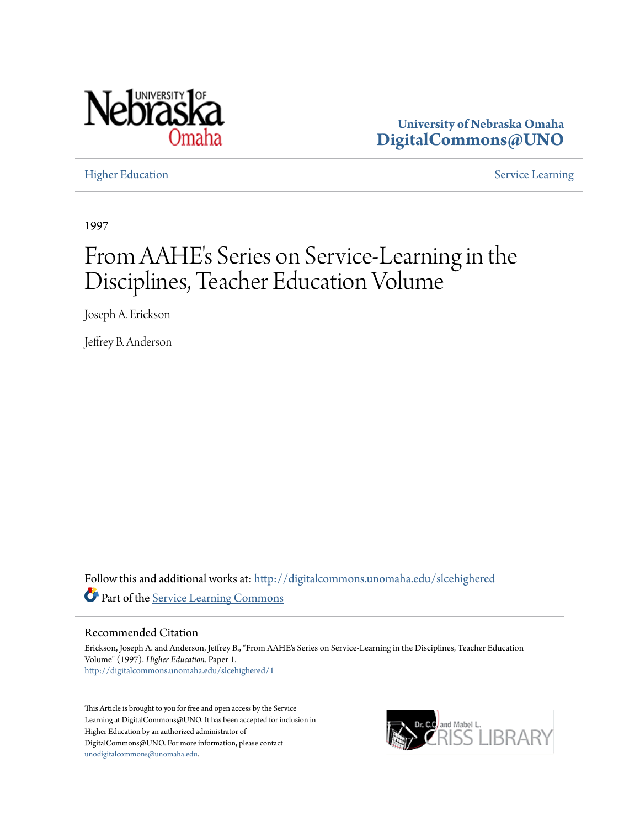

**University of Nebraska Omaha [DigitalCommons@UNO](http://digitalcommons.unomaha.edu?utm_source=digitalcommons.unomaha.edu%2Fslcehighered%2F1&utm_medium=PDF&utm_campaign=PDFCoverPages)**

[Higher Education](http://digitalcommons.unomaha.edu/slcehighered?utm_source=digitalcommons.unomaha.edu%2Fslcehighered%2F1&utm_medium=PDF&utm_campaign=PDFCoverPages) [Service Learning](http://digitalcommons.unomaha.edu/slceservicelearning?utm_source=digitalcommons.unomaha.edu%2Fslcehighered%2F1&utm_medium=PDF&utm_campaign=PDFCoverPages)

1997

# From AAHE's Series on Service-Learning in the Disciplines, Teacher Education Volume

Joseph A. Erickson

Jeffrey B. Anderson

Follow this and additional works at: [http://digitalcommons.unomaha.edu/slcehighered](http://digitalcommons.unomaha.edu/slcehighered?utm_source=digitalcommons.unomaha.edu%2Fslcehighered%2F1&utm_medium=PDF&utm_campaign=PDFCoverPages) Part of the [Service Learning Commons](http://network.bepress.com/hgg/discipline/1024?utm_source=digitalcommons.unomaha.edu%2Fslcehighered%2F1&utm_medium=PDF&utm_campaign=PDFCoverPages)

#### Recommended Citation

Erickson, Joseph A. and Anderson, Jeffrey B., "From AAHE's Series on Service-Learning in the Disciplines, Teacher Education Volume" (1997). *Higher Education.* Paper 1. [http://digitalcommons.unomaha.edu/slcehighered/1](http://digitalcommons.unomaha.edu/slcehighered/1?utm_source=digitalcommons.unomaha.edu%2Fslcehighered%2F1&utm_medium=PDF&utm_campaign=PDFCoverPages)

This Article is brought to you for free and open access by the Service Learning at DigitalCommons@UNO. It has been accepted for inclusion in Higher Education by an authorized administrator of DigitalCommons@UNO. For more information, please contact [unodigitalcommons@unomaha.edu](mailto:unodigitalcommons@unomaha.edu).

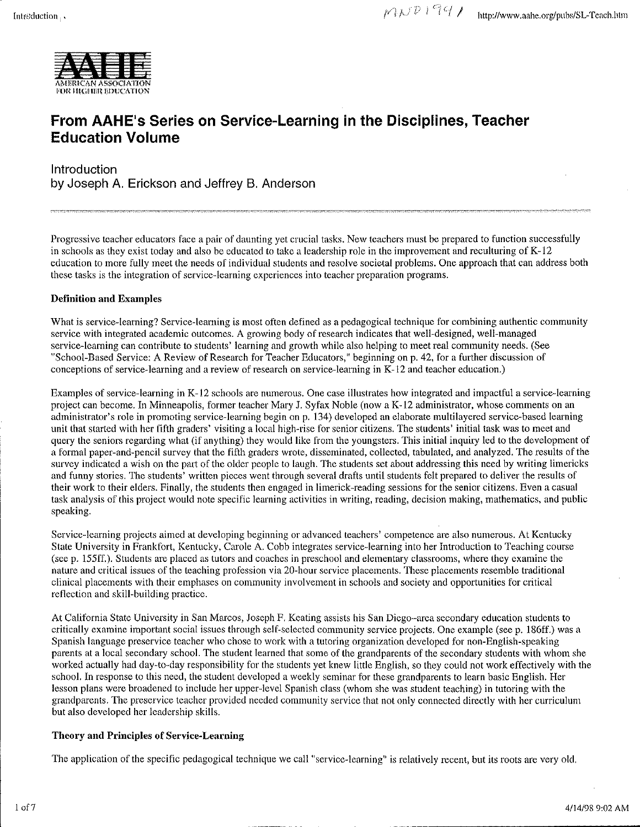

## From AAHE's Series on Service-Learning in the Disciplines, Teacher Education Volume

Introduction by Joseph A. Erickson and Jeffrey B. Anderson

Progressive teacher educators face a pair of daunting yet crucial tasks. New teachers must be prepared to function successfully in schools as they exist today and also be educated to take a leadership role in the improvement and reculturing of K-12 education to more fully meet the needs of individual students and resolve societal problems. One approach that can address both these tasks is the integration of service-learning experiences into teacher preparation programs.

#### Definition and Examples

What is service-learning? Service-learning is most often defined as a pedagogical technique for combining authentic community service with integrated academic outcomes. A growing body of research indicates that well-designed, well-managed service-learning can contribute to students' learning and growth while also helping to meet real community needs. (See "School-Based Service: A Review of Research for Teacher Educators," beginning on p. 42, for a further discussion of conceptions of service-learning and a review of research on service-learning in K-12 and teacher education.)

Examples of service-learning in K-12 schools are numerous. One case illustrates how integrated and impactful a service-learning project can become. In Minneapolis, former teacher Mary J. Syfax Noble (now a K-12 administrator, whose comments on an administrator's role in promoting service-learning begin on p. 134) developed an elaborate multilayered service-based learning unit that started with her fifth graders' visiting a local high-rise for senior citizens. The students' initial task was to meet and query the seniors regarding what (if anything) they would like from the youngsters. This initial inquiry led to the development of a formal paper-and-pencil survey that the fifth graders wrote, disseminated, collected, tabulated, and analyzed. The results of the survey indicated a wish on the part of the older people to laugh. The students set about addressing this need by writing limericks and funny stories. The students' written pieces went through several drafts until students felt prepared to deliver the results of their work to their elders. Finally, the students then engaged in limerick-reading sessions for the senior citizens. Even a casual task analysis of this project would note specific learning activities in writing, reading, decision making, mathematics, and public speaking.

Service-learning projects aimed at developing beginning or advanced teachers' competence are also numerous. At Kentucky State University in Frankfort, Kentucky, Carole A. Cobb integrates service-learning into her Introduction to Teaching course (seep. 155ff.). Students arc placed as tutors and coaches in preschool and elementary classrooms, where they examine the nature and critical issues of the teaching profession via 20-hour service placements. These placements resemble traditional clinical placements with their emphases on community involvement in schools and society and opportunities for critical retleetion and skill-building practice.

At California State University in San Marcos, Joseph F. Keating assists his San Diego-area secondary education students to critically examine important social issues through self-selected community service projects. One example (seep. 186ff.) was a Spanish language preservice teacher who chose to work with a tutoring organization developed for non-English-speaking parents at a local secondary school. The student learned that some of the grandparents of the secondary students with whom she worked actually had day-to-day responsibility for the students yet knew little English, so they could not work effectively with the school. In response to this need, the student developed a weekly seminar for these grandparents to learn basic English. Her lesson plans were broadened to include her upper-level Spanish class (whom she was student teaching) in tutoring with the grandparents. The preservice teacher provided needed community service that not only connected directly with her curriculum but also developed her leadership skills.

#### Theory and Principles of Service-Learning

The application of the specific pedagogical technique we call "service-learning" is relatively recent, but its roots are very old.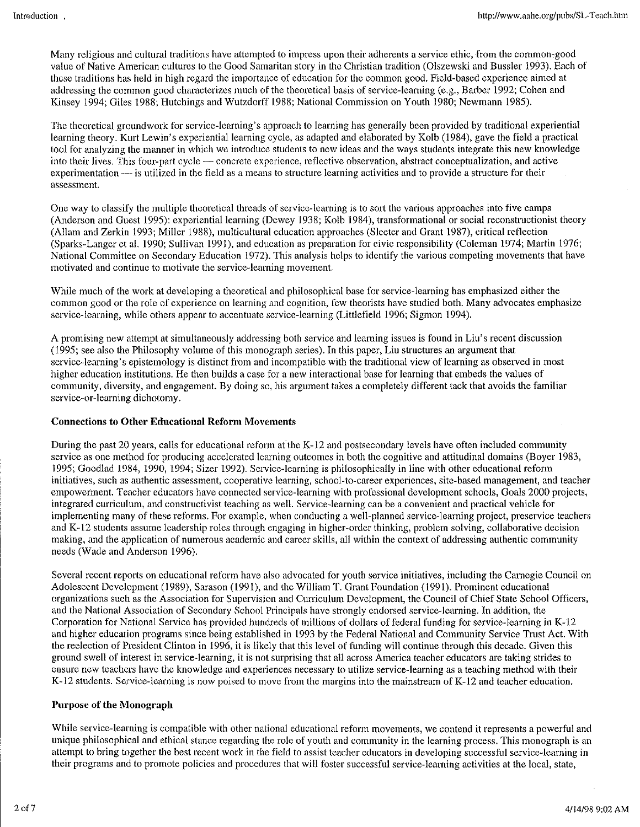Many religious and cultural traditions have attempted to impress upon their adherents a service ethic, from the common-good value of Native American cultures to the Good Samaritan story in the Christian tradition (Olszewski and Bussler 1993). Each of these traditions has held in high regard the importance of education for the common good. Field-based experience aimed at addressing the common good characterizes much of the theoretical basis of service-learning (e.g., Barber 1992; Cohen and Kinsey 1994; Giles 1988; Hutchings and Wutzdorff 1988; National Commission on Youth 1980; Newmann 1985).

The theoretical groundwork for service-learning's approach to learning has generally been provided by traditional experiential learning theory. Kurt Lewin's experiential learning cycle, as adapted and elaborated by Kolb (1984), gave the field a practical tool for analyzing the manner in which we introduce students to new ideas and the ways students integrate this new knowledge into their lives. This four-part cycle- concrete experience, reflective observation, abstract conceptualization, and active experimentation  $-$  is utilized in the field as a means to structure learning activities and to provide a structure for their assessment.

One way to classify the multiple theoretical threads of service-learning is to sort the various approaches into five camps (Anderson and Guest 1995): experiential learning (Dewey 1938; Kolb 1984), transformational or social reconstruetionist theory (Allam and Zerkin 1993; Miller 1988), multicultural education approaches (Sleeter and Grant 1987), critical reflection (Sparks-Langer et al. 1990; Sullivan 1991), and education as preparation for civic responsibility (Coleman 1974; Marlin 1976; National Committee on Secondary Education 1972). This analysis helps to identify the various competing movements that have motivated and continue to motivate the service-learning movement.

While much of the work at developing a theoretical and philosophical base for service-learning has emphasized either the common good or the role of experience on learning and cognition, few theorists have studied both. Many advocates emphasize service-learning, while others appear to accentuate service-learning (Littlefield 1996; Sigmon 1994).

A promising new attempt at simultaneously addressing both service and learning issues is found in Liu's recent discussion (1995; see also the Philosophy volume of this monograph series). In this paper, Liu structures an argument that service-learning's epistemology is distinct from and incompatible with the traditional view of learning as observed in most higher education institutions. He then builds a case for a new interactional base for learning that embeds the values of community, diversity, and engagement. By doing so, his argument takes a completely different tack that avoids the familiar service-or-learning dichotomy.

#### Connections to Other Educational Reform Movements

During the past 20 years, calls for educational reform at the K-12 and postsecondary levels have often included community service as one method for producing accelerated learning outcomes in both the cognitive and attitudinal domains (Boyer 1983, 1995; Goodlad 1984, 1990, 1994; Sizer 1992). Service-learning is philosophically in line with other educational reform initiatives, such as authentic assessment, cooperative learning, school-to-career experiences, site-based management, and teacher empowertnent. Teacher educators have connected service-learning with professional development schools, Goals 2000 projects, integrated curriculum, and constructivist teaching as well. Service-learning can be a convenient and practical vehicle for implementing many of these reforms. For example, when conducting a well-planned service-learning project, preservice teachers and K-12 students assume leadership roles through engaging in higher-order thinking, problem solving, collaborative decision making, and the application of numerous academic and career skills, all within the context of addressing authentic community needs (Wade and Anderson 1996).

Several recent reports on educational reform have also advocated for youth service initiatives, including the Carnegie Council on Adolescent Development ( 1989), Sarason (1991), and the William T. Grant Foundation ( 1991). Prominent educational organizations such as the Association for Supervision and Curriculum Development, the Council of Chief State School Officers, and the National Association of Secondary School Principals have strongly endorsed service-learning. In addition, the Corporation for National Service has provided hundreds of millions of dollars of federal funding for service-learning in K-12 and higher education programs since being established in 1993 by the Federal National and Community Service Trust Act. With the reelection of President Clinton in 1996, it is likely that this level of funding will continue through this decade. Given this ground swell of interest in service-learning, it is not surprising that all across America teacher educators are taking strides to ensure new teachers have the knowledge and experiences necessary to utilize service-learning as a teaching method with their K-12 students. Service-learning is now poised to move from the margins into the mainstream of K-12 and teacher education.

#### Purpose of the Monograph

While service-learning is compatible with other national educational reform movements, we contend it represents a powerful and unique philosophical and ethical stance regarding the role of youth and community in the learning process. This monograph is an attempt to bring together the best recent work in the field to assist teacher educators in developing successful service-learning in their programs and to promote policies and procedures that will foster successful service-learning activities at the local, state,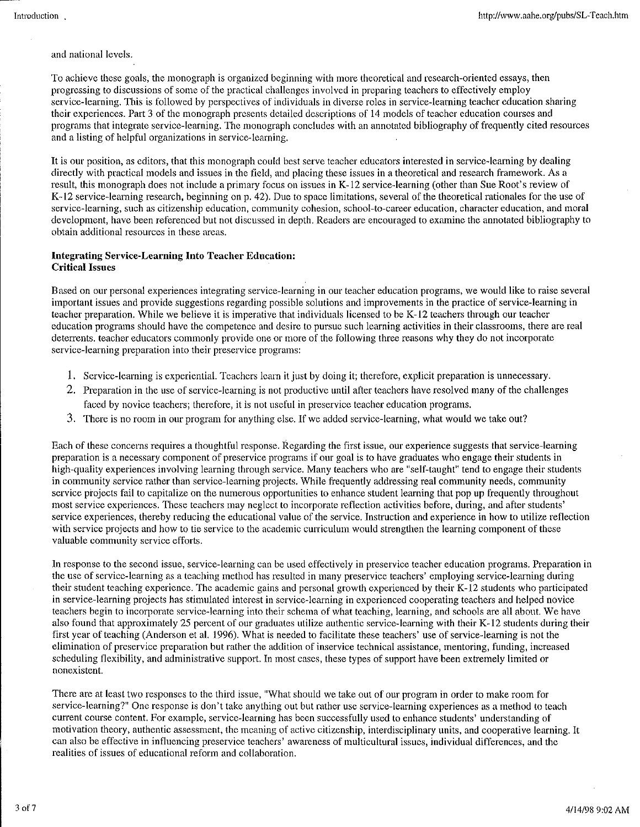and national levels.

To achieve these goals, the monograph is organized beginning with more theoretical and research-oriented essays, then progressing to discussions of some of the practical challenges involved in preparing teachers to etiectively employ service-learning. This is followed by perspectives of individuals in diverse roles in service-learning teacher education sharing their experiences. Part 3 of the monograph presents detailed descriptions of 14 models of teacher education courses and programs that integrate service-learning. The monograph concludes with an annotated bibliography of frequently cited resources and a listing of helpful organizations in service-learning.

It is our position, as editors, that this monograph could best serve teacher educators interested in service-learning by dealing directly with practical models and issues in the field, and placing these issues in a theoretical and research framework. As a result, this monograph does not include a primary focus on issues in K-12 service-learning (other than Sue Root's review of K-12 service-learning research, beginning on p. 42). Due to space limitations, several of the theoretical rationales for the use of service-learning, such as citizenship education, community cohesion, school-to-career education, character education, and moral development, have been referenced but not discussed in depth. Readers arc encouraged to examine the annotated bibliography to obtain additional resources in these areas.

#### Integrating Service~ Learning Into Teacher Education: Critical Issues

Based on our personal experiences integrating service-learning in our teacher education programs, we would like to raise several important issues and provide suggestions regarding possible solutions and improvements in the practice of service-learning in teacher preparation. While we believe it is imperative that individuals licensed to be K-12 teachers through our teacher education programs should have the competence and desire to pursue such learning activities in their classrooms, there are real deterrents. teacher educators commonly provide one or more of the following three reasons why they do not incorporate service-learning preparation into their preservice programs:

- 1. Service-learning is experiential. Teachers learn it just by doing it; therefore, explicit preparation is unnecessary.
- 2. Preparation in the use of service-learning is not productive until after teachers have resolved many of the challenges faced by novice teachers; therefore, it is not useful in preservice teacher education programs.
- 3. There is no room in our program for anything else. If we added service-learning, what would we take out?

Each of these concerns requires a thoughtful response. Regarding the first issue, our experience suggests that service-learning preparation is a necessary component of preservice programs if our goal is to have graduates who engage their students in high-quality experiences involving learning through service. Many teachers who are "self-taught" tend to engage their students in community service rather than service-learning projects. While frequently addressing real community needs, community service projects fail to capitalize on the numerous opportunities to enhance student learning that pop up frequently throughout most service experiences. These teachers may neglect to incorporate reflection activities before, during, and after students' service experiences, thereby reducing the educational value of the service. Instruction and experience in how to utilize reflection with service projects and how to tie service to the academic curriculum would strengthen the learning component of these valuable community service efforts.

In response to the second issue, service-learning can be used effectively in preservice teacher education programs. Preparation in the use of service-learning as a teaching method has resulted in many preservice teachers' employing service-learning during their student teaching experience. The academic gains and personal growth experienced by their K-12 students who participated in service-learning projects has stimulated interest in service-learning in experienced cooperating teachers and helped novice teachers begin to incorporate service-learning into their schema of what teaching, learning, and schools are all about. We have also found that approximately 25 percent of our graduates utilize authentic service-learning with their K-12 students during their first year of teaching (Anderson et al. 1996). What is needed to facilitate these teachers' use of service-learning is not the elimination of preservice preparation but rather the addition of inservice technical assistance, mentoring, funding, increased scheduling flexibility, and administrative support. In most cases, these types of support have been extremely limited or nonexistent.

There are at least two responses to the third issue, "What should we take out of our program in order to make room for service-learning?" One response is don't take anything out but rather use service-learning experiences as a method to teach current course content. For example, service-learning has been successfully used to enhance students' understanding of motivation theory, authentic assessment, the meaning of active citizenship, interdisciplinary units, and cooperative learning. It can also be effective in influencing preservice teachers' awareness of multicultural issues, individual differences, and the realities of issues of educational reform and collaboration.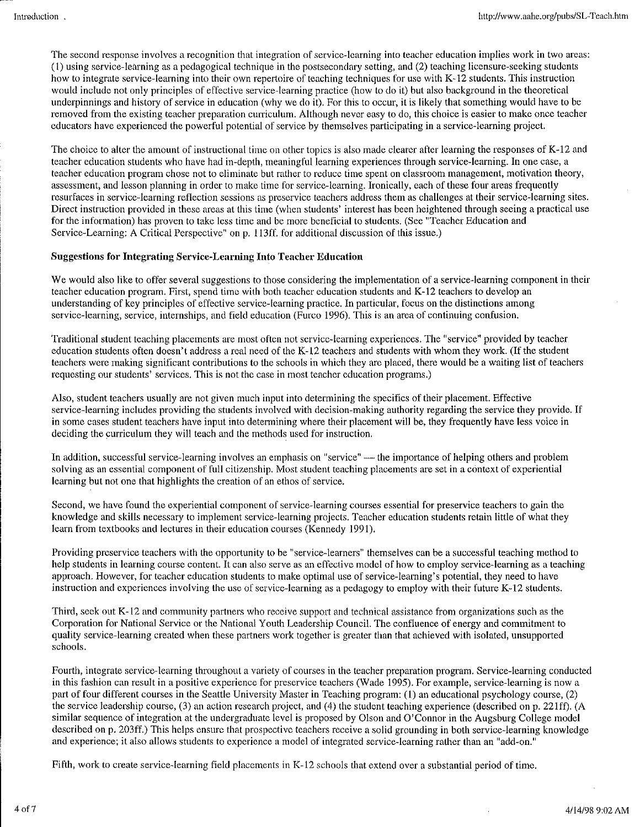The second response involves a recognition that integration of service-learning into teacher education implies work in two areas:  $(1)$  using service-learning as a pedagogical technique in the postsecondary setting, and  $(2)$  teaching licensure-seeking students how to integrate service-learning into their own repertoire of teaching techniques for usc with K-12 students. This instruction would include not only principles of effective service-learning practice (how to do it) but also background in the theoretical underpinnings and history of service in education (why we do it). For this to occur, it is likely that something would have to be removed from the existing teacher preparation curriculum. Although never easy to do, this choice is easier to make once teacher educators have experienced the powerful potential of service by themselves participating in a service-learning project.

The choice to alter the amount of instructional time on other topics is also made clearer after learning the responses of K-12 and teacher education students who have had in-depth, meaningful learning experiences through service-learning. In one case, a teacher education program chose not to eliminate but rather to reduce time spent on classroom management, motivation theory, assessment, and lesson planning in order to make time for service-learning. Ironically, each of these four areas frequently resurfaces in service-learning reflection sessions as preservice teachers address them as challenges at their service-learning sites. Direct instruction provided in these areas at this time (when students' interest has been heightened through seeing a practical use for the information) has proven to take less time and be more beneficial to students. (See "Teacher Education and Service-Learning: A Critical Perspective" on p. 113ff. for additional discussion of this issue.)

#### Suggestions for Integrating Service-Learning Into Teacher Education

We would also like to offer several suggestions to those considering the implementation of a service-learning component in their teacher education program. First, spend time with both teacher education students and K-12 teachers to develop an understanding of key principles of effective service-learning practice. In particular, focus on the distinctions among service-learning, service, internships, and field education (Furco 1996). This is an area of continuing confusion.

Traditional student teaching placements are most often not service-learning experiences. The "service" provided by teacher education students often doesn't address a real need of the K-12 teachers and students with whom they work. (If the student teachers were making significant contributions to the schools in which they arc placed, there would be a waiting list of teachers requesting our students' services. This is not the case in most teacher education programs.)

Also, student teachers usually are not given much input into determining the specifics of their placement. Effective service-learning includes providing the students involved with decision-making authority regarding the service they provide. If in some cases student teachers have input into determining where their placement will be, they frequently have less voice in deciding the curriculum they will teach and the methods used for instruction.

In addition, successful service-learning involves an emphasis on "service" — the importance of helping others and problem solving as an essential component of full citizenship. Most student teaching placements are set in a context of experiential learning but not one that highlights the creation of an ethos of service.

Second, we have found the experiential component of service-learning courses essential for preservice teachers to gain the knowledge and skills necessary to implement service-learning projects. Teacher education students retain little of what they learn from textbooks and lectures in their education courses (Kennedy 1991).

Providing preservicc teachers with the opportunity to be "service-learners" themselves can be a successful teaching method to help students in learning course content. It can also serve as an effective model of how to employ service-learning as a teaching approach. However, for teacher education students to make optimal usc of service-learning's potential, they need to have instruction and experiences involving the use of service-learning as a pedagogy to employ with their future K-12 students.

Third, seek out K-12 and community partners who receive support and technical assistance from organizations such as the Corporation for National Service or the National Youth Leadership Council. The confluence of energy and commitment to quality service-learning created when these partners work together is greater than that achieved with isolated, unsupported schools.

Fourth, integrate service-learning throughout a variety of courses in the teacher preparation program. Service-learning conducted in this fashion can result in a positive experience for preservice teachers (Wade 1995). For example, service-learning is now a part of four different courses in the Seattle University Master in Teaching program: (I) an educational psychology course, (2) the service leadership course, (3) an action research project, and (4) the student teaching experience (described on p. 22lff). (A similar sequence of integration at the undergraduate level is proposed by Olson and O'Connor in the Augsburg College model described on p. 203ff.) This helps ensure that prospective teachers receive a solid grounding in both service-learning knowledge and experience; it also allows students to experience a model of integrated service-learning rather than an "add-on."

Fifth, work to create service-learning field placements in K-12 schools that extend over a substantial period of time.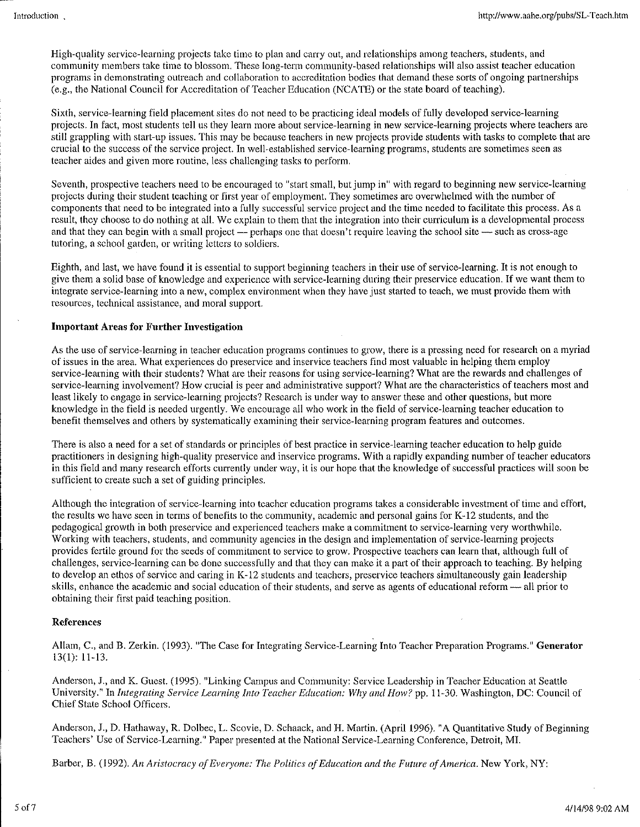High-quality service-learning projects take time to plan and carry out, and relationships among teachers, students, and community members take time to blossom. These long-term community-based relationships will also assist teacher education programs in demonstrating outreach and collaboration to accreditation bodies that demand these sorts of ongoing partnerships (e.g., the National Council for Accreditation of Teacher Education (NCA TE) or the state board of teaching).

Sixth, service-learning field placement sites do not need to be practicing ideal models of fully developed service-learning projects. In fact, most students tell us they learn more about service-learning in new service~learning projects where teachers arc still grappling with start-up issues. This may be because teachers in new projects provide students with tasks to complete that are crucial to the success of the service project. In well-established service-learning programs, students are sometimes seen as teacher aides and given more routine, less challenging tasks to perform.

Seventh, prospective teachers need to be encouraged to "start small, but jump in" with regard to beginning new service-learning projects during their student teaching or first year of employment. They sometimes are overwhelmed with the number of components that need to be integrated into a fully successful service project and the time needed to facilitate this process. As a result, they choose to do nothing at all. We explain to them that the integration into their curriculum is a developmental process and that they can begin with a small project — perhaps one that doesn't require leaving the school site — such as cross-age tutoring, a school garden, or writing letters to soldiers.

Eighth, and last, we have found it is essential to support beginning teachers in their use of service-learning. It is not enough to give them a solid base of knowledge and experience with service-learning during their preservice education. If we want them to integrate service-learning into a new, complex environment when they have just started to teach, we must provide them with resources, technical assistance, and moral support.

#### Important Areas for Further Investigation

As the use of service-learning in teacher education programs continues to grow, there is a pressing need for research on a myriad of issues in the area. What experiences do preservice and inservice teachers find most valuable in helping them employ service-learning with their students? What are their reasons for using service-learning? What are the rewards and challenges of service-learning involvement? How crucial is peer and administrative support? What are the characteristics of teachers most and least likely to engage in service-learning projects? Research is under way to answer these and other questions, but more knowledge in the field is needed urgently. We encourage all who work in the field of service-learning teacher education to benefit themselves and others by systematically examining their service-learning program features and outcomes.

There is also a need for a set of standards or principles of best practice in service-learning teacher education to help guide practitioners in designing high-quality preservice and inservice programs. With a rapidly expanding number of teacher educators in this field and many research efforts currently under way, it is our hope that the knowledge of successful practices will soon be sufficient to create such a set of guiding principles.

Although the integration of service-learning into teacher education programs takes a considerable investment of time and effort, the results we have seen in terms of benefits to the community, academic and personal gains for K-12 students, and the pedagogical growth in both preservice and experienced teachers make a commitment to service-learning very worthwhile. Working with teachers, students, and community agencies in the design and implementation of service-learning projects provides fertile ground for the seeds of commitment to service to grow. Prospective teachers can learn that, although full of challenges, service-learning can be done successfully and that they can make it a part of their approach to teaching. By helping to develop an ethos of service and caring in K-12 students and teachers, preservice teachers simultaneously gain leadership skills, enhance the academic and social education of their students, and serve as agents of educational reform — all prior to obtaining their first paid teaching position.

#### References

Allam, C., and B. Zerkin. (1993). "The Case for Integrating Service-Learning Into Teacher Preparation Programs." Generator 13(1): 11-13.

Anderson, J., and K. Guest. (1995). "Linking Campus and Community: Service Leadership in Teacher Education at Seattle University." In *Integrating Service Learning Into Teacher Education:* Why *and How?* pp. 11-30. Washington, DC: Council of Chief State School Officers.

Anderson, J., D. Hathaway, R. Dolbec, L. Scovie, D. Schaack, and H. Martin. (April 1996). "A Quantitative Study of Beginning Teachers' Use of Service-Learning." Paper presented at the National Service-Learning Conference, Detroit, MI.

Barber, B. (1992). *An Aristocracy of Everyone: The Politics of Education and the Future of America.* New York, NY: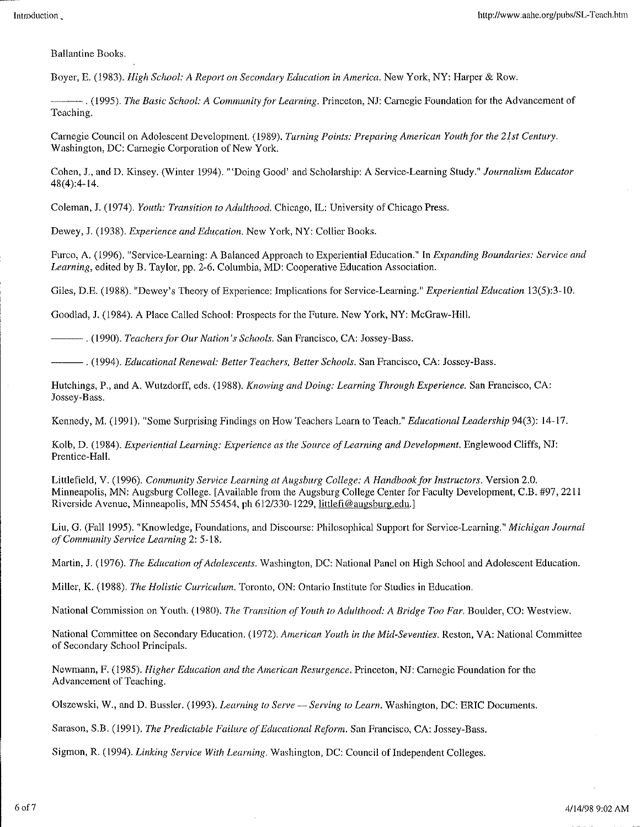**Ballantine Books.** 

Boyer, E. (1983). *High School: A Report on Secondary Education in America.* New York, NY: Harper & Row.

---. **(1995).** *The Basic School: A Community for Learning.* **Princeton, NJ: Carnegie Foundation for the Advancement of**  Teaching.

Carnegie Council on Adolescent Development. (1989). *Turning Points: Preparing American Youth for the 21st Century.*  **Washington, DC: Carnegie Corporation of New York.** 

Cohen, J., and D. Kinsey. (Winter 1994). "'Doing Good' and Scholarship: A Service-Learning Study." *Journalism Educator*  48(4):4-14.

Coleman, J. (1974). *Youth: Transition to Adulthood.* Chicago, IL: University of Chicago Press.

Dewey, J. (1938). *Experience and Education.* New York, NY: Collier Books.

Furco, A. (1996). "Service-Learning: A Balanced Approach to Experiential Education." In *Expanding Boundaries: Service and Learning,* edited by B. Taylor, pp. 2-6. Columbia, MD: Cooperative Education Association.

Giles, D.E. (1988). "Dewey's Theory of Experience: Implications for Service-Learning." *Experiential Education* 13(5):3-10.

Goodlad, J. (1984). A Place Called School: Prospects for the Future. New York, NY: McGraw-Hill.

---. **(1990).** *Teachers for Our Nation's Schools.* **San Francisco, CA: Jossey-Bass.** 

---. (1994). *Educational Renewal: Better Teachers, Better Schools.* San Francisco, CA: Jossey-Bass.

Hutchings, P., and A. Wutzdorff, eds. (1988). *Knowing and Doing: Learning Through Experience*. San Francisco, CA: Jossey-Bass.

Kennedy, M. (1991). "Some Surprising Findings on How Teachers Learn to Teach." *Educational Leadership* 94(3): 14-17.

Kolb, D. (1984). *Experiential Learning: Experience as the Source of Learning and Development.* Englewood Cliffs, NJ: Prentice-Hall.

Littlefield, V. (1996). *Community Service Learning at Augsburg College: A Handbook for Instructors.* Version 2.0. Minneapolis, MN: Augsburg College. [Available from the Augsburg College Center for Faculty Development, C.B. #97, 2211 Riverside Avenue, Minneapolis, MN 55454, ph 612/330-1229, littlefi@augsburg.edu.]

Liu, G. (Falll995). "Knowledge, Foundations, and Discourse: Philosophical Support for Service-Learning." *Michigan Journal of Community Service Learning* 2:5-18.

Martin, J. (1976). *The Education of Adolescents*. Washington, DC: National Panel on High School and Adolescent Education.

Miller, K. (1988). *The Holistic Curriculum.* Toronto, ON: Ontario Institute for Studies in Education.

National Commission on Youth. ( 1980). *The Transition of Youth to Adulthood: A Bridge Too Far.* Boulder, CO: Westview.

National Committee on Secondary Education. (1972). *American Youth in the Mid-Seventies*. Reston, VA: National Committee of Secondary School Principals.

Newmann, F. (1985). *Higher Education and the American Resurgence.* Princeton, NJ: Carnegie Foundation for the **Advancement of Teaching.** 

Olszewski, W., and D. Bussler. (1993). *Learning to Serve- Serving to Learn.* Washington, DC: ERIC Documents.

Sarason, S.B. (1991). *The Predictable Failure of Educational Reform.* San Francisco, CA: Jossey-Bass.

Sigmon, R. (1994). *Linking Service With Learning*. Washington, DC: Council of Independent Colleges.